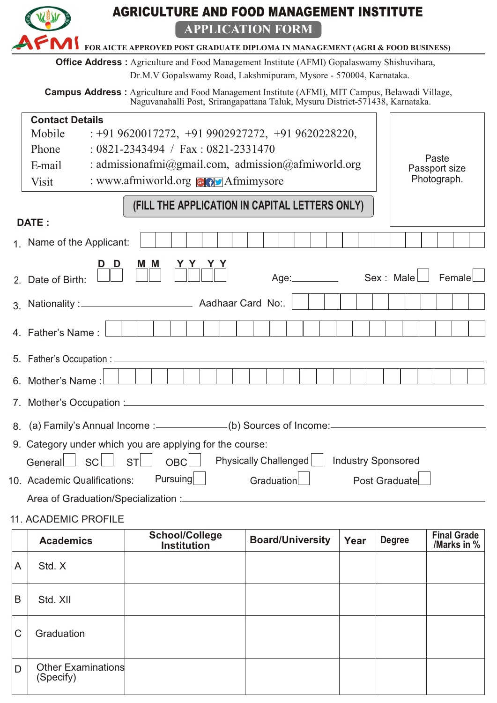| <b>AGRICULTURE AND FOOD MANAGEMENT INSTITUTE</b>                                                         |                                                                                                                                                                                         |                                                                                                   |                         |      |               |                                   |  |
|----------------------------------------------------------------------------------------------------------|-----------------------------------------------------------------------------------------------------------------------------------------------------------------------------------------|---------------------------------------------------------------------------------------------------|-------------------------|------|---------------|-----------------------------------|--|
| <b>APPLICATION FORM</b><br>FOR AICTE APPROVED POST GRADUATE DIPLOMA IN MANAGEMENT (AGRI & FOOD BUSINESS) |                                                                                                                                                                                         |                                                                                                   |                         |      |               |                                   |  |
|                                                                                                          |                                                                                                                                                                                         | <b>Office Address:</b> Agriculture and Food Management Institute (AFMI) Gopalaswamy Shishuvihara, |                         |      |               |                                   |  |
|                                                                                                          |                                                                                                                                                                                         | Dr.M.V Gopalswamy Road, Lakshmipuram, Mysore - 570004, Karnataka.                                 |                         |      |               |                                   |  |
|                                                                                                          | <b>Campus Address:</b> Agriculture and Food Management Institute (AFMI), MIT Campus, Belawadi Village,<br>Naguvanahalli Post, Srirangapattana Taluk, Mysuru District-571438, Karnataka. |                                                                                                   |                         |      |               |                                   |  |
|                                                                                                          | <b>Contact Details</b>                                                                                                                                                                  |                                                                                                   |                         |      |               |                                   |  |
|                                                                                                          | Mobile                                                                                                                                                                                  | $: +919620017272, +919902927272, +919620228220,$                                                  |                         |      |               |                                   |  |
|                                                                                                          | Phone                                                                                                                                                                                   | $: 0821 - 2343494 / \text{Fax} : 0821 - 2331470$                                                  |                         |      |               | Paste                             |  |
|                                                                                                          | E-mail                                                                                                                                                                                  | : admissionafmi@gmail.com, admission@afmiworld.org                                                |                         |      |               | Passport size                     |  |
|                                                                                                          | <b>Visit</b>                                                                                                                                                                            | : www.afmiworld.org <b>GOV</b> Afmimysore                                                         |                         |      |               | Photograph.                       |  |
|                                                                                                          | (FILL THE APPLICATION IN CAPITAL LETTERS ONLY)                                                                                                                                          |                                                                                                   |                         |      |               |                                   |  |
|                                                                                                          | <b>DATE:</b>                                                                                                                                                                            |                                                                                                   |                         |      |               |                                   |  |
|                                                                                                          | 1. Name of the Applicant:                                                                                                                                                               |                                                                                                   |                         |      |               |                                   |  |
|                                                                                                          | D                                                                                                                                                                                       | M M                                                                                               |                         |      |               |                                   |  |
|                                                                                                          | Age: <b>Malle</b> Sex: Male<br>Female<br>2. Date of Birth:                                                                                                                              |                                                                                                   |                         |      |               |                                   |  |
|                                                                                                          |                                                                                                                                                                                         |                                                                                                   |                         |      |               |                                   |  |
|                                                                                                          | 4. Father's Name:                                                                                                                                                                       |                                                                                                   |                         |      |               |                                   |  |
|                                                                                                          | 5. Father's Occupation : -                                                                                                                                                              |                                                                                                   |                         |      |               |                                   |  |
|                                                                                                          | 6. Mother's Name:                                                                                                                                                                       |                                                                                                   |                         |      |               |                                   |  |
|                                                                                                          |                                                                                                                                                                                         |                                                                                                   |                         |      |               |                                   |  |
|                                                                                                          | 8. (a) Family's Annual Income : ____________(b) Sources of Income: _________________________________                                                                                    |                                                                                                   |                         |      |               |                                   |  |
|                                                                                                          | 9. Category under which you are applying for the course:                                                                                                                                |                                                                                                   |                         |      |               |                                   |  |
|                                                                                                          | Physically Challenged<br><b>Industry Sponsored</b><br><b>SC</b><br>OBC<br>General<br><b>ST</b>                                                                                          |                                                                                                   |                         |      |               |                                   |  |
|                                                                                                          | <b>Pursuing</b><br>10. Academic Qualifications:<br>Graduation<br>Post Graduate                                                                                                          |                                                                                                   |                         |      |               |                                   |  |
|                                                                                                          |                                                                                                                                                                                         |                                                                                                   |                         |      |               |                                   |  |
| <b>11. ACADEMIC PROFILE</b>                                                                              |                                                                                                                                                                                         |                                                                                                   |                         |      |               |                                   |  |
|                                                                                                          | <b>Academics</b>                                                                                                                                                                        | <b>School/College</b><br><b>Institution</b>                                                       | <b>Board/University</b> | Year | <b>Degree</b> | <b>Final Grade</b><br>/Marks in % |  |
|                                                                                                          |                                                                                                                                                                                         |                                                                                                   |                         |      |               |                                   |  |

|             | <b>AVUUVIIIVU</b>               | <b>Institution</b> | <b>TAN</b> | $-9.00$ | /Marks in % |
|-------------|---------------------------------|--------------------|------------|---------|-------------|
| A           | Std. X                          |                    |            |         |             |
| B           | Std. XII                        |                    |            |         |             |
| $\mathsf C$ | Graduation                      |                    |            |         |             |
| D           | Other Examinations<br>(Specify) |                    |            |         |             |